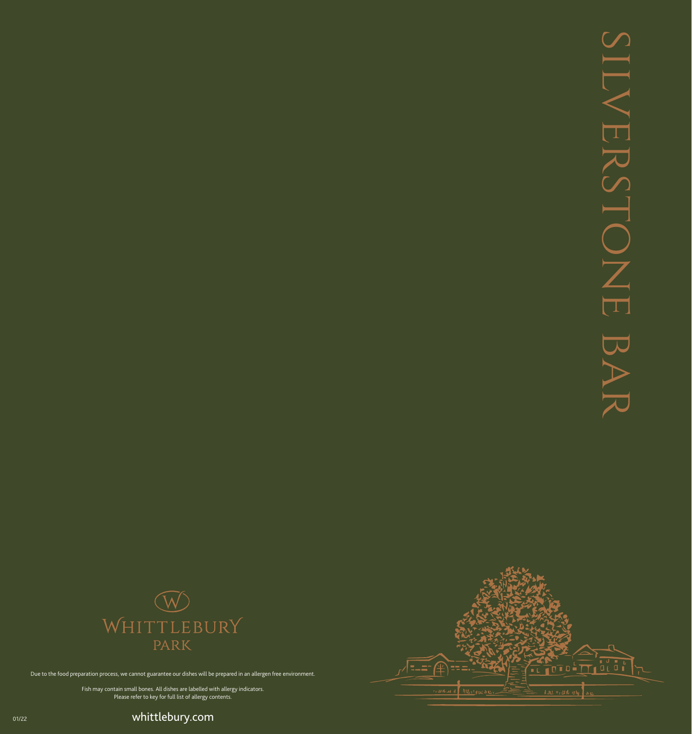



Due to the food preparation process, we cannot guarantee our dishes will be prepared in an allergen free environment.

Fish may contain small bones. All dishes are labelled with allergy indicators. Please refer to key for full list of allergy contents.

ouzz **by the come of the community of the community**